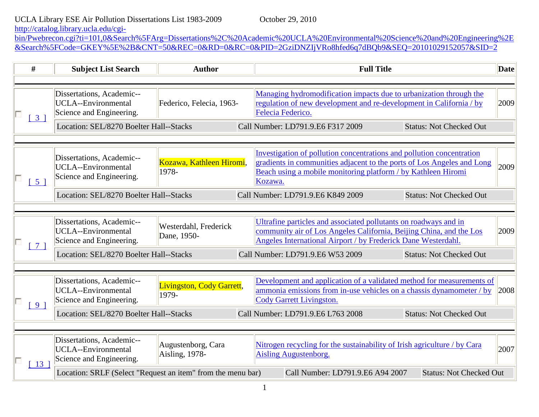## UCLA Library ESE Air Pollution Dissertations List 1983-2009 October 29, 2010

[http://catalog.library.ucla.edu/cgi-](http://catalog.library.ucla.edu/cgi-bin/Pwebrecon.cgi?ti=101,0&Search%5FArg=Dissertations%2C%20Academic%20UCLA%20Environmental%20Science%20and%20Engineering%2E&Search%5FCode=GKEY%5E%2B&CNT=50&REC=0&RD=0&RC=0&PID=2GziDNZIjVRo8hfed6q7dBQb9&SEQ=20101029152057&SID=2)

[bin/Pwebrecon.cgi?ti=101,0&Search%5FArg=Dissertations%2C%20Academic%20UCLA%20Environmental%20Science%20and%20Engineering%2E](http://catalog.library.ucla.edu/cgi-bin/Pwebrecon.cgi?ti=101,0&Search%5FArg=Dissertations%2C%20Academic%20UCLA%20Environmental%20Science%20and%20Engineering%2E&Search%5FCode=GKEY%5E%2B&CNT=50&REC=0&RD=0&RC=0&PID=2GziDNZIjVRo8hfed6q7dBQb9&SEQ=20101029152057&SID=2) [&Search%5FCode=GKEY%5E%2B&CNT=50&REC=0&RD=0&RC=0&PID=2GziDNZIjVRo8hfed6q7dBQb9&SEQ=20101029152057&SID=2](http://catalog.library.ucla.edu/cgi-bin/Pwebrecon.cgi?ti=101,0&Search%5FArg=Dissertations%2C%20Academic%20UCLA%20Environmental%20Science%20and%20Engineering%2E&Search%5FCode=GKEY%5E%2B&CNT=50&REC=0&RD=0&RC=0&PID=2GziDNZIjVRo8hfed6q7dBQb9&SEQ=20101029152057&SID=2)

| #               | <b>Subject List Search</b>                                                          | <b>Author</b>                             | <b>Full Title</b>                                                                                                                                                                                                           |      |  |
|-----------------|-------------------------------------------------------------------------------------|-------------------------------------------|-----------------------------------------------------------------------------------------------------------------------------------------------------------------------------------------------------------------------------|------|--|
|                 |                                                                                     |                                           |                                                                                                                                                                                                                             |      |  |
| 3 <sup>1</sup>  | Dissertations, Academic--<br><b>UCLA--Environmental</b><br>Science and Engineering. | Federico, Felecia, 1963-                  | Managing hydromodification impacts due to urbanization through the<br>regulation of new development and re-development in California / by<br>Felecia Federico.                                                              | 2009 |  |
|                 | Location: SEL/8270 Boelter Hall--Stacks                                             |                                           | Call Number: LD791.9.E6 F317 2009<br><b>Status: Not Checked Out</b>                                                                                                                                                         |      |  |
|                 |                                                                                     |                                           |                                                                                                                                                                                                                             |      |  |
| 5 <sup>1</sup>  | Dissertations, Academic--<br>UCLA--Environmental<br>Science and Engineering.        | Kozawa, Kathleen Hiromi,<br>1978-         | Investigation of pollution concentrations and pollution concentration<br>gradients in communities adjacent to the ports of Los Angeles and Long<br>Beach using a mobile monitoring platform / by Kathleen Hiromi<br>Kozawa. | 2009 |  |
|                 | Location: SEL/8270 Boelter Hall--Stacks                                             |                                           | Call Number: LD791.9.E6 K849 2009<br><b>Status: Not Checked Out</b>                                                                                                                                                         |      |  |
|                 | Dissertations, Academic--                                                           |                                           | Ultrafine particles and associated pollutants on roadways and in                                                                                                                                                            |      |  |
|                 | UCLA--Environmental<br>Science and Engineering.                                     | Westerdahl, Frederick<br>Dane, 1950-      | community air of Los Angeles California, Beijing China, and the Los<br>Angeles International Airport / by Frederick Dane Westerdahl.                                                                                        | 2009 |  |
|                 | Location: SEL/8270 Boelter Hall--Stacks                                             |                                           | Call Number: LD791.9.E6 W53 2009<br><b>Status: Not Checked Out</b>                                                                                                                                                          |      |  |
|                 |                                                                                     |                                           |                                                                                                                                                                                                                             |      |  |
| 9 <sup>1</sup>  | Dissertations, Academic--<br>UCLA--Environmental<br>Science and Engineering.        | <b>Livingston, Cody Garrett,</b><br>1979- | Development and application of a validated method for measurements of<br>ammonia emissions from in-use vehicles on a chassis dynamometer / by<br>Cody Garrett Livingston.                                                   | 2008 |  |
|                 | Location: SEL/8270 Boelter Hall--Stacks                                             |                                           | Call Number: LD791.9.E6 L763 2008<br><b>Status: Not Checked Out</b>                                                                                                                                                         |      |  |
|                 |                                                                                     |                                           |                                                                                                                                                                                                                             |      |  |
| 13 <sup>1</sup> | Dissertations, Academic--<br>UCLA--Environmental<br>Science and Engineering.        | Augustenborg, Cara<br>Aisling, 1978-      | Nitrogen recycling for the sustainability of Irish agriculture / by Cara<br>Aisling Augustenborg.                                                                                                                           | 2007 |  |
|                 | Location: SRLF (Select "Request an item" from the menu bar)                         |                                           | Call Number: LD791.9.E6 A94 2007<br><b>Status: Not Checked Out</b>                                                                                                                                                          |      |  |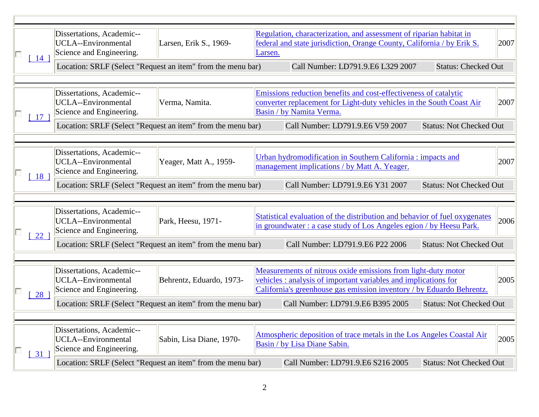| 14              | Dissertations, Academic--<br><b>UCLA--Environmental</b><br>Larsen, Erik S., 1969-<br>Science and Engineering. |                          | Regulation, characterization, and assessment of riparian habitat in<br>federal and state jurisdiction, Orange County, California / by Erik S.<br>Larsen.                                                 |      |  |
|-----------------|---------------------------------------------------------------------------------------------------------------|--------------------------|----------------------------------------------------------------------------------------------------------------------------------------------------------------------------------------------------------|------|--|
|                 | Location: SRLF (Select "Request an item" from the menu bar)                                                   |                          | Call Number: LD791.9.E6 L329 2007<br><b>Status: Checked Out</b>                                                                                                                                          |      |  |
|                 |                                                                                                               |                          |                                                                                                                                                                                                          |      |  |
| 17 <sup>1</sup> | Dissertations, Academic--<br>UCLA--Environmental<br>Science and Engineering.                                  | Verma, Namita.           | Emissions reduction benefits and cost-effectiveness of catalytic<br>converter replacement for Light-duty vehicles in the South Coast Air<br>Basin / by Namita Verma.                                     | 2007 |  |
|                 | Location: SRLF (Select "Request an item" from the menu bar)                                                   |                          | Call Number: LD791.9.E6 V59 2007<br><b>Status: Not Checked Out</b>                                                                                                                                       |      |  |
|                 |                                                                                                               |                          |                                                                                                                                                                                                          |      |  |
| 18              | Dissertations, Academic--<br>UCLA--Environmental<br>Science and Engineering.                                  | Yeager, Matt A., 1959-   | Urban hydromodification in Southern California : impacts and<br>management implications / by Matt A. Yeager.                                                                                             | 2007 |  |
|                 | Location: SRLF (Select "Request an item" from the menu bar)                                                   |                          | Call Number: LD791.9.E6 Y31 2007<br><b>Status: Not Checked Out</b>                                                                                                                                       |      |  |
|                 |                                                                                                               |                          |                                                                                                                                                                                                          |      |  |
| 22              | Dissertations, Academic--<br>UCLA--Environmental<br>Science and Engineering.                                  | Park, Heesu, 1971-       | Statistical evaluation of the distribution and behavior of fuel oxygenates<br>in groundwater : a case study of Los Angeles egion / by Heesu Park.                                                        | 2006 |  |
|                 | Location: SRLF (Select "Request an item" from the menu bar)                                                   |                          | Call Number: LD791.9.E6 P22 2006<br><b>Status: Not Checked Out</b>                                                                                                                                       |      |  |
|                 |                                                                                                               |                          |                                                                                                                                                                                                          |      |  |
| 28              | Dissertations, Academic--<br>UCLA--Environmental<br>Science and Engineering.                                  | Behrentz, Eduardo, 1973- | Measurements of nitrous oxide emissions from light-duty motor<br>vehicles: analysis of important variables and implications for<br>California's greenhouse gas emission inventory / by Eduardo Behrentz. | 2005 |  |
|                 | Location: SRLF (Select "Request an item" from the menu bar)                                                   |                          | Call Number: LD791.9.E6 B395 2005<br><b>Status: Not Checked Out</b>                                                                                                                                      |      |  |
|                 |                                                                                                               |                          |                                                                                                                                                                                                          |      |  |
| 31 <sup>1</sup> | Dissertations, Academic--<br>UCLA--Environmental<br>Science and Engineering.                                  | Sabin, Lisa Diane, 1970- | Atmospheric deposition of trace metals in the Los Angeles Coastal Air<br>Basin / by Lisa Diane Sabin.                                                                                                    | 2005 |  |
|                 | Location: SRLF (Select "Request an item" from the menu bar)                                                   |                          | Call Number: LD791.9.E6 S216 2005<br><b>Status: Not Checked Out</b>                                                                                                                                      |      |  |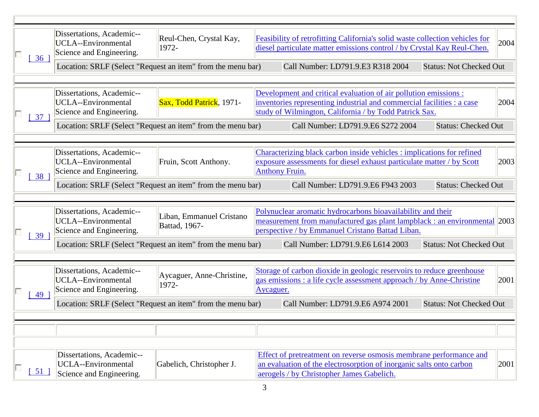| 36              | Dissertations, Academic--<br>Reul-Chen, Crystal Kay,<br>UCLA--Environmental<br>1972-<br>Science and Engineering. |                                           | Feasibility of retrofitting California's solid waste collection vehicles for<br>diesel particulate matter emissions control / by Crystal Kay Reul-Chen.                                              | 2004 |
|-----------------|------------------------------------------------------------------------------------------------------------------|-------------------------------------------|------------------------------------------------------------------------------------------------------------------------------------------------------------------------------------------------------|------|
|                 | Location: SRLF (Select "Request an item" from the menu bar)                                                      |                                           | Call Number: LD791.9.E3 R318 2004<br><b>Status: Not Checked Out</b>                                                                                                                                  |      |
|                 |                                                                                                                  |                                           |                                                                                                                                                                                                      |      |
| 37              | Dissertations, Academic--<br>UCLA--Environmental<br>Science and Engineering.                                     | Sax, Todd Patrick, 1971-                  | Development and critical evaluation of air pollution emissions :<br>inventories representing industrial and commercial facilities : a case<br>study of Wilmington, California / by Todd Patrick Sax. | 2004 |
|                 | Location: SRLF (Select "Request an item" from the menu bar)                                                      |                                           | Call Number: LD791.9.E6 S272 2004<br><b>Status: Checked Out</b>                                                                                                                                      |      |
|                 |                                                                                                                  |                                           |                                                                                                                                                                                                      |      |
| 38 <sup>°</sup> | Dissertations, Academic--<br>UCLA--Environmental<br>Science and Engineering.                                     | Fruin, Scott Anthony.                     | Characterizing black carbon inside vehicles : implications for refined<br>exposure assessments for diesel exhaust particulate matter / by Scott<br><b>Anthony Fruin.</b>                             | 2003 |
|                 | Location: SRLF (Select "Request an item" from the menu bar)                                                      |                                           | <b>Status: Checked Out</b><br>Call Number: LD791.9.E6 F943 2003                                                                                                                                      |      |
|                 |                                                                                                                  |                                           |                                                                                                                                                                                                      |      |
| 39 <sup>°</sup> | Dissertations, Academic--<br>UCLA--Environmental<br>Science and Engineering.                                     | Liban, Emmanuel Cristano<br>Battad, 1967- | Polynuclear aromatic hydrocarbons bioavailability and their<br>measurement from manufactured gas plant lampblack : an environmental 2003<br>perspective / by Emmanuel Cristano Battad Liban.         |      |
|                 | Location: SRLF (Select "Request an item" from the menu bar)                                                      |                                           | <b>Status: Not Checked Out</b><br>Call Number: LD791.9.E6 L614 2003                                                                                                                                  |      |
|                 |                                                                                                                  |                                           |                                                                                                                                                                                                      |      |
| 49 <sup>°</sup> | Dissertations, Academic--<br>UCLA--Environmental<br>Science and Engineering.                                     | Aycaguer, Anne-Christine,<br>1972-        | Storage of carbon dioxide in geologic reservoirs to reduce greenhouse<br>gas emissions : a life cycle assessment approach / by Anne-Christine<br>Aycaguer.                                           | 2001 |
|                 | Location: SRLF (Select "Request an item" from the menu bar)                                                      |                                           | <b>Status: Not Checked Out</b><br>Call Number: LD791.9.E6 A974 2001                                                                                                                                  |      |
|                 |                                                                                                                  |                                           |                                                                                                                                                                                                      |      |
|                 |                                                                                                                  |                                           |                                                                                                                                                                                                      |      |
|                 |                                                                                                                  |                                           |                                                                                                                                                                                                      |      |
| $51$ ]          | Dissertations, Academic--<br>UCLA--Environmental<br>Science and Engineering.                                     | Gabelich, Christopher J.                  | Effect of pretreatment on reverse osmosis membrane performance and<br>an evaluation of the electrosorption of inorganic salts onto carbon<br>aerogels / by Christopher James Gabelich.               | 2001 |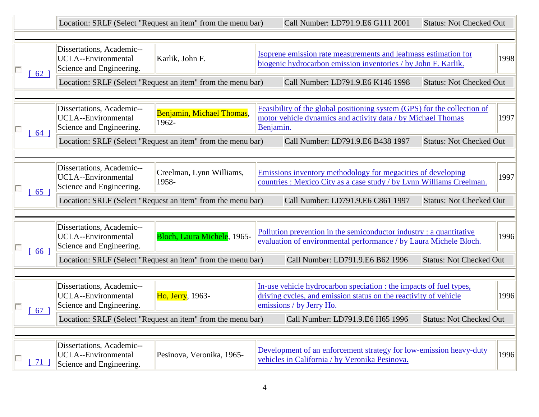|      |                                                                                                        | Location: SRLF (Select "Request an item" from the menu bar) |           | Call Number: LD791.9.E6 G111 2001                                                                                                                                  | <b>Status: Not Checked Out</b> |      |
|------|--------------------------------------------------------------------------------------------------------|-------------------------------------------------------------|-----------|--------------------------------------------------------------------------------------------------------------------------------------------------------------------|--------------------------------|------|
| 62 ] | Dissertations, Academic--<br><b>UCLA--Environmental</b><br>Karlik, John F.<br>Science and Engineering. |                                                             |           | Isoprene emission rate measurements and leafmass estimation for<br>biogenic hydrocarbon emission inventories / by John F. Karlik.                                  |                                | 1998 |
|      |                                                                                                        | Location: SRLF (Select "Request an item" from the menu bar) |           | Call Number: LD791.9.E6 K146 1998                                                                                                                                  | <b>Status: Not Checked Out</b> |      |
| 64 ] | Dissertations, Academic--<br><b>UCLA--Environmental</b><br>Science and Engineering.                    | Benjamin, Michael Thomas,<br>1962-                          | Benjamin. | Feasibility of the global positioning system (GPS) for the collection of<br>motor vehicle dynamics and activity data / by Michael Thomas                           |                                | 1997 |
|      |                                                                                                        | Location: SRLF (Select "Request an item" from the menu bar) |           | Call Number: LD791.9.E6 B438 1997                                                                                                                                  | <b>Status: Not Checked Out</b> |      |
| 65 ] | Dissertations, Academic--<br><b>UCLA--Environmental</b><br>Science and Engineering.                    | Creelman, Lynn Williams,<br>1958-                           |           | Emissions inventory methodology for megacities of developing<br>countries : Mexico City as a case study / by Lynn Williams Creelman.                               |                                | 1997 |
|      | Location: SRLF (Select "Request an item" from the menu bar)                                            |                                                             |           | Call Number: LD791.9.E6 C861 1997                                                                                                                                  | <b>Status: Not Checked Out</b> |      |
| 661  | Dissertations, Academic--<br><b>UCLA--Environmental</b><br>Science and Engineering.                    | Bloch, Laura Michele, 1965-                                 |           | Pollution prevention in the semiconductor industry: a quantitative<br>evaluation of environmental performance / by Laura Michele Bloch.                            |                                | 1996 |
|      |                                                                                                        | Location: SRLF (Select "Request an item" from the menu bar) |           | Call Number: LD791.9.E6 B62 1996                                                                                                                                   | <b>Status: Not Checked Out</b> |      |
| 67 ] | Dissertations, Academic--<br><b>UCLA--Environmental</b><br>Science and Engineering.                    | Ho, Jerry, 1963-                                            |           | In-use vehicle hydrocarbon speciation : the impacts of fuel types,<br>driving cycles, and emission status on the reactivity of vehicle<br>emissions / by Jerry Ho. |                                | 1996 |
|      |                                                                                                        |                                                             |           | Location: SRLF (Select "Request an item" from the menu bar) Call Number: LD791.9.E6 H65 1996 Status: Not Checked Out                                               |                                |      |
| 71 ] | Dissertations, Academic--<br>UCLA--Environmental<br>Science and Engineering.                           | Pesinova, Veronika, 1965-                                   |           | Development of an enforcement strategy for low-emission heavy-duty<br>vehicles in California / by Veronika Pesinova.                                               |                                | 1996 |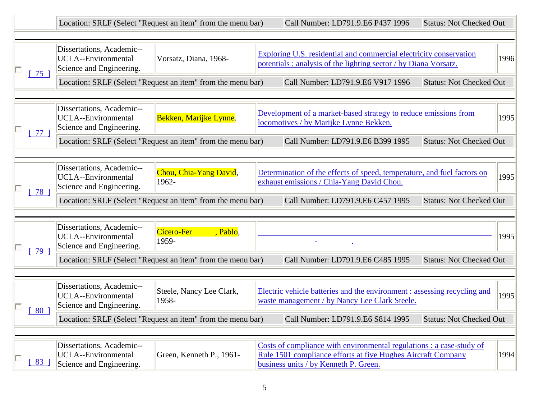|      |                                                                                                                                    | Location: SRLF (Select "Request an item" from the menu bar) |  | Call Number: LD791.9.E6 P437 1996                                                                                                                                             | <b>Status: Not Checked Out</b> |      |  |
|------|------------------------------------------------------------------------------------------------------------------------------------|-------------------------------------------------------------|--|-------------------------------------------------------------------------------------------------------------------------------------------------------------------------------|--------------------------------|------|--|
| 75 ] | Dissertations, Academic--<br><b>UCLA--Environmental</b><br>Vorsatz, Diana, 1968-<br>Science and Engineering.                       |                                                             |  | Exploring U.S. residential and commercial electricity conservation<br>potentials : analysis of the lighting sector / by Diana Vorsatz.                                        |                                | 1996 |  |
|      |                                                                                                                                    | Location: SRLF (Select "Request an item" from the menu bar) |  | Call Number: LD791.9.E6 V917 1996                                                                                                                                             | <b>Status: Not Checked Out</b> |      |  |
| 77 ] | Dissertations, Academic--<br><b>UCLA--Environmental</b><br>Science and Engineering.                                                | Bekken, Marijke Lynne.                                      |  | Development of a market-based strategy to reduce emissions from<br>locomotives / by Marijke Lynne Bekken.                                                                     |                                | 1995 |  |
|      |                                                                                                                                    | Location: SRLF (Select "Request an item" from the menu bar) |  | Call Number: LD791.9.E6 B399 1995                                                                                                                                             | <b>Status: Not Checked Out</b> |      |  |
| 78 ] | Dissertations, Academic--<br><b>UCLA--Environmental</b><br>Science and Engineering.                                                | Chou, Chia-Yang David,<br>1962-                             |  | Determination of the effects of speed, temperature, and fuel factors on<br>exhaust emissions / Chia-Yang David Chou.                                                          |                                | 1995 |  |
|      |                                                                                                                                    | Location: SRLF (Select "Request an item" from the menu bar) |  | Call Number: LD791.9.E6 C457 1995                                                                                                                                             | <b>Status: Not Checked Out</b> |      |  |
| 79 ] | Dissertations, Academic--<br><b>UCLA--Environmental</b><br>Science and Engineering.                                                | Cicero-Fer<br>, Pablo,<br>1959-                             |  |                                                                                                                                                                               |                                | 1995 |  |
|      |                                                                                                                                    | Location: SRLF (Select "Request an item" from the menu bar) |  | Call Number: LD791.9.E6 C485 1995                                                                                                                                             | <b>Status: Not Checked Out</b> |      |  |
| 80 1 | Dissertations, Academic--<br><b>UCLA--Environmental</b><br>Science and Engineering.                                                | Steele, Nancy Lee Clark,<br>1958-                           |  | Electric vehicle batteries and the environment : assessing recycling and<br>waste management / by Nancy Lee Clark Steele.                                                     |                                | 1995 |  |
|      | Location: SRLF (Select "Request an item" from the menu bar)<br>Call Number: LD791.9.E6 S814 1995<br><b>Status: Not Checked Out</b> |                                                             |  |                                                                                                                                                                               |                                |      |  |
| 83 ] | Dissertations, Academic--<br>UCLA--Environmental<br>Science and Engineering.                                                       | Green, Kenneth P., 1961-                                    |  | Costs of compliance with environmental regulations : a case-study of<br>Rule 1501 compliance efforts at five Hughes Aircraft Company<br>business units / by Kenneth P. Green. |                                | 1994 |  |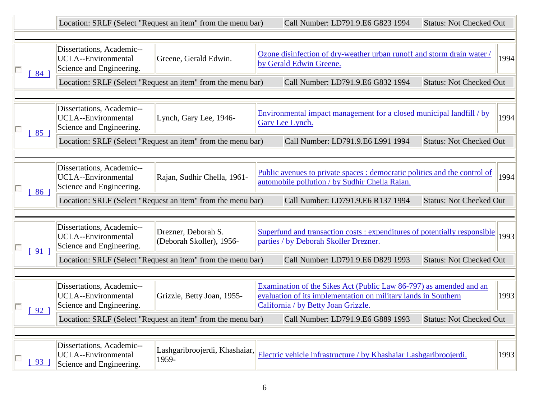|               |                                                                                                              | Location: SRLF (Select "Request an item" from the menu bar) | Call Number: LD791.9.E6 G823 1994                                                                 | <b>Status: Not Checked Out</b>                                                                                                                                              |                                |      |
|---------------|--------------------------------------------------------------------------------------------------------------|-------------------------------------------------------------|---------------------------------------------------------------------------------------------------|-----------------------------------------------------------------------------------------------------------------------------------------------------------------------------|--------------------------------|------|
| 84 ]          | Dissertations, Academic--<br><b>UCLA--Environmental</b><br>Greene, Gerald Edwin.<br>Science and Engineering. |                                                             | Ozone disinfection of dry-weather urban runoff and storm drain water /<br>by Gerald Edwin Greene. |                                                                                                                                                                             |                                | 1994 |
|               |                                                                                                              | Location: SRLF (Select "Request an item" from the menu bar) |                                                                                                   | Call Number: LD791.9.E6 G832 1994                                                                                                                                           | <b>Status: Not Checked Out</b> |      |
| $85 \text{ }$ | Dissertations, Academic--<br><b>UCLA--Environmental</b><br>Science and Engineering.                          | Lynch, Gary Lee, 1946-                                      |                                                                                                   | Environmental impact management for a closed municipal landfill / by<br>Gary Lee Lynch.                                                                                     |                                | 1994 |
|               |                                                                                                              | Location: SRLF (Select "Request an item" from the menu bar) |                                                                                                   | Call Number: LD791.9.E6 L991 1994                                                                                                                                           | <b>Status: Not Checked Out</b> |      |
| 86 ]          | Dissertations, Academic--<br><b>UCLA--Environmental</b><br>Science and Engineering.                          | Rajan, Sudhir Chella, 1961-                                 |                                                                                                   | Public avenues to private spaces : democratic politics and the control of<br>automobile pollution / by Sudhir Chella Rajan.                                                 |                                | 1994 |
|               |                                                                                                              | Location: SRLF (Select "Request an item" from the menu bar) |                                                                                                   | Call Number: LD791.9.E6 R137 1994                                                                                                                                           | <b>Status: Not Checked Out</b> |      |
| $91$ ]        | Dissertations, Academic--<br><b>UCLA--Environmental</b><br>Science and Engineering.                          | Drezner, Deborah S.<br>(Deborah Skoller), 1956-             |                                                                                                   | Superfund and transaction costs : expenditures of potentially responsible<br>parties / by Deborah Skoller Drezner.                                                          |                                | 1993 |
|               |                                                                                                              | Location: SRLF (Select "Request an item" from the menu bar) |                                                                                                   | Call Number: LD791.9.E6 D829 1993                                                                                                                                           | <b>Status: Not Checked Out</b> |      |
| $92 \text{ }$ | Dissertations, Academic--<br><b>UCLA--Environmental</b><br>Science and Engineering.                          | Grizzle, Betty Joan, 1955-                                  |                                                                                                   | Examination of the Sikes Act (Public Law 86-797) as amended and an<br>evaluation of its implementation on military lands in Southern<br>California / by Betty Joan Grizzle. |                                | 1993 |
|               |                                                                                                              | Location: SRLF (Select "Request an item" from the menu bar) |                                                                                                   | Call Number: LD791.9.E6 G889 1993                                                                                                                                           | <b>Status: Not Checked Out</b> |      |
| 93 ]          | Dissertations, Academic--<br><b>UCLA--Environmental</b><br>Science and Engineering.                          | Lashgaribroojerdi, Khashaiar,<br>1959-                      |                                                                                                   | Electric vehicle infrastructure / by Khashaiar Lashgaribroojerdi.                                                                                                           |                                | 1993 |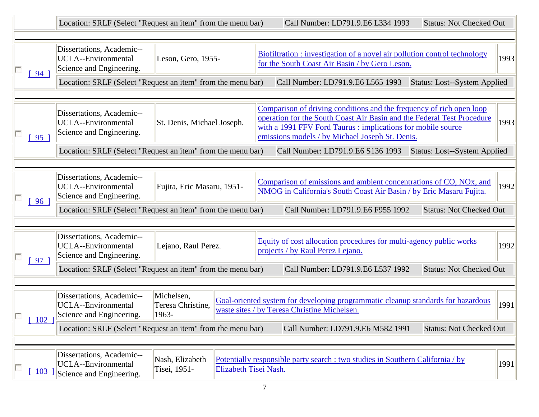|               |                                                                                                           | Location: SRLF (Select "Request an item" from the menu bar) | Call Number: LD791.9.E6 L334 1993<br><b>Status: Not Checked Out</b>                                                                                                                                                                                               |      |  |
|---------------|-----------------------------------------------------------------------------------------------------------|-------------------------------------------------------------|-------------------------------------------------------------------------------------------------------------------------------------------------------------------------------------------------------------------------------------------------------------------|------|--|
| $94 \;$ 1     | Dissertations, Academic--<br><b>UCLA--Environmental</b><br>Leson, Gero, 1955-<br>Science and Engineering. |                                                             | Biofiltration : investigation of a novel air pollution control technology<br>1993<br>for the South Coast Air Basin / by Gero Leson.                                                                                                                               |      |  |
|               |                                                                                                           | Location: SRLF (Select "Request an item" from the menu bar) | Call Number: LD791.9.E6 L565 1993<br><b>Status: Lost--System Applied</b>                                                                                                                                                                                          |      |  |
| $95 \text{ }$ | Dissertations, Academic--<br><b>UCLA--Environmental</b><br>Science and Engineering.                       | St. Denis, Michael Joseph.                                  | Comparison of driving conditions and the frequency of rich open loop<br>operation for the South Coast Air Basin and the Federal Test Procedure<br>with a 1991 FFV Ford Taurus : implications for mobile source<br>emissions models / by Michael Joseph St. Denis. | 1993 |  |
|               |                                                                                                           | Location: SRLF (Select "Request an item" from the menu bar) | Call Number: LD791.9.E6 S136 1993<br><b>Status: Lost--System Applied</b>                                                                                                                                                                                          |      |  |
| 96 ]          | Dissertations, Academic--<br><b>UCLA--Environmental</b><br>Science and Engineering.                       | Fujita, Eric Masaru, 1951-                                  | Comparison of emissions and ambient concentrations of CO, NOx, and<br>NMOG in California's South Coast Air Basin / by Eric Masaru Fujita.                                                                                                                         | 1992 |  |
|               |                                                                                                           | Location: SRLF (Select "Request an item" from the menu bar) | Call Number: LD791.9.E6 F955 1992<br><b>Status: Not Checked Out</b>                                                                                                                                                                                               |      |  |
| 97 ]          | Dissertations, Academic--<br><b>UCLA--Environmental</b><br>Science and Engineering.                       | Lejano, Raul Perez.                                         | Equity of cost allocation procedures for multi-agency public works<br>projects / by Raul Perez Lejano.                                                                                                                                                            | 1992 |  |
|               |                                                                                                           | Location: SRLF (Select "Request an item" from the menu bar) | Call Number: LD791.9.E6 L537 1992<br><b>Status: Not Checked Out</b>                                                                                                                                                                                               |      |  |
| $102$ ]       | Dissertations, Academic--<br><b>UCLA--Environmental</b><br>Science and Engineering.                       | Michelsen,<br>Teresa Christine,<br>1963-                    | Goal-oriented system for developing programmatic cleanup standards for hazardous<br>waste sites / by Teresa Christine Michelsen.                                                                                                                                  | 1991 |  |
|               |                                                                                                           | Location: SRLF (Select "Request an item" from the menu bar) | <b>Status: Not Checked Out</b><br>Call Number: LD791.9.E6 M582 1991                                                                                                                                                                                               |      |  |
| 103           | Dissertations, Academic--<br>UCLA--Environmental<br>Science and Engineering.                              | Nash, Elizabeth<br>Tisei, 1951-                             | Potentially responsible party search : two studies in Southern California / by<br>Elizabeth Tisei Nash.                                                                                                                                                           | 1991 |  |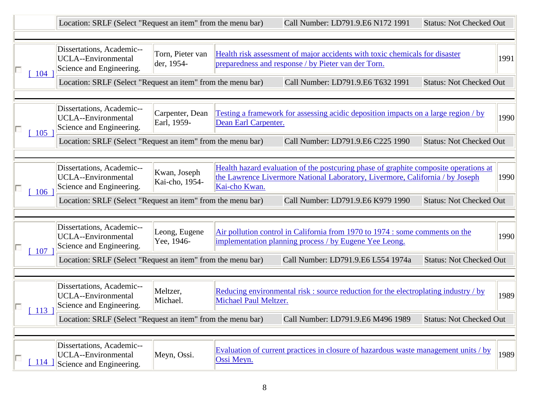|               | Location: SRLF (Select "Request an item" from the menu bar)                         |                                |                       | Call Number: LD791.9.E6 N172 1991                                                                                                                                     | <b>Status: Not Checked Out</b> |      |
|---------------|-------------------------------------------------------------------------------------|--------------------------------|-----------------------|-----------------------------------------------------------------------------------------------------------------------------------------------------------------------|--------------------------------|------|
| 104           | Dissertations, Academic--<br><b>UCLA--Environmental</b><br>Science and Engineering. | Torn, Pieter van<br>der, 1954- |                       | Health risk assessment of major accidents with toxic chemicals for disaster<br>preparedness and response / by Pieter van der Torn.                                    |                                | 1991 |
|               | Location: SRLF (Select "Request an item" from the menu bar)                         |                                |                       | Call Number: LD791.9.E6 T632 1991                                                                                                                                     | <b>Status: Not Checked Out</b> |      |
| 105           | Dissertations, Academic--<br><b>UCLA--Environmental</b><br>Science and Engineering. | Carpenter, Dean<br>Earl, 1959- | Dean Earl Carpenter.  | Testing a framework for assessing acidic deposition impacts on a large region / by                                                                                    |                                | 1990 |
|               | Location: SRLF (Select "Request an item" from the menu bar)                         |                                |                       | Call Number: LD791.9.E6 C225 1990                                                                                                                                     | <b>Status: Not Checked Out</b> |      |
| 106           | Dissertations, Academic--<br>UCLA--Environmental<br>Science and Engineering.        | Kwan, Joseph<br>Kai-cho, 1954- | Kai-cho Kwan.         | Health hazard evaluation of the postcuring phase of graphite composite operations at<br>the Lawrence Livermore National Laboratory, Livermore, California / by Joseph |                                | 1990 |
|               | Location: SRLF (Select "Request an item" from the menu bar)                         |                                |                       | Call Number: LD791.9.E6 K979 1990                                                                                                                                     | <b>Status: Not Checked Out</b> |      |
| 107           | Dissertations, Academic--<br><b>UCLA--Environmental</b><br>Science and Engineering. | Leong, Eugene<br>Yee, 1946-    |                       | Air pollution control in California from 1970 to 1974 : some comments on the<br>implementation planning process / by Eugene Yee Leong.                                |                                | 1990 |
|               | Location: SRLF (Select "Request an item" from the menu bar)                         |                                |                       | Call Number: LD791.9.E6 L554 1974a                                                                                                                                    | <b>Status: Not Checked Out</b> |      |
| $\boxed{113}$ | Dissertations, Academic--<br><b>UCLA--Environmental</b><br>Science and Engineering. | Meltzer,<br>Michael.           | Michael Paul Meltzer. | Reducing environmental risk: source reduction for the electroplating industry / by                                                                                    |                                | 1989 |
|               | Location: SRLF (Select "Request an item" from the menu bar)                         |                                |                       | Call Number: LD791.9.E6 M496 1989                                                                                                                                     | <b>Status: Not Checked Out</b> |      |
| <u>114</u>    | Dissertations, Academic--<br>UCLA--Environmental<br>Science and Engineering.        | Meyn, Ossi.                    | Ossi Meyn.            | Evaluation of current practices in closure of hazardous waste management units / by                                                                                   |                                | 1989 |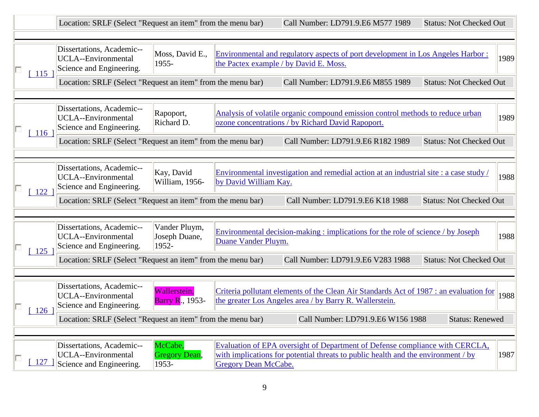|                     | Location: SRLF (Select "Request an item" from the menu bar)                         |                                          |                             | Call Number: LD791.9.E6 M577 1989                                                                                                                                   | <b>Status: Not Checked Out</b> |      |
|---------------------|-------------------------------------------------------------------------------------|------------------------------------------|-----------------------------|---------------------------------------------------------------------------------------------------------------------------------------------------------------------|--------------------------------|------|
| $-115$              | Dissertations, Academic--<br>UCLA--Environmental<br>Science and Engineering.        | Moss, David E.,<br>1955-                 |                             | Environmental and regulatory aspects of port development in Los Angeles Harbor:<br>the Pactex example / by David E. Moss.                                           |                                | 1989 |
|                     | Location: SRLF (Select "Request an item" from the menu bar)                         |                                          |                             | Call Number: LD791.9.E6 M855 1989                                                                                                                                   | <b>Status: Not Checked Out</b> |      |
| $\lceil 116 \rceil$ | Dissertations, Academic--<br><b>UCLA--Environmental</b><br>Science and Engineering. | Rapoport,<br>Richard D.                  |                             | Analysis of volatile organic compound emission control methods to reduce urban<br>ozone concentrations / by Richard David Rapoport.                                 |                                | 1989 |
|                     | Location: SRLF (Select "Request an item" from the menu bar)                         |                                          |                             | Call Number: LD791.9.E6 R182 1989                                                                                                                                   | <b>Status: Not Checked Out</b> |      |
| 122                 | Dissertations, Academic--<br><b>UCLA--Environmental</b><br>Science and Engineering. | Kay, David<br>William, 1956-             | by David William Kay.       | Environmental investigation and remedial action at an industrial site : a case study /                                                                              |                                | 1988 |
|                     | Location: SRLF (Select "Request an item" from the menu bar)                         |                                          |                             | Call Number: LD791.9.E6 K18 1988                                                                                                                                    | <b>Status: Not Checked Out</b> |      |
| 125                 | Dissertations, Academic--<br><b>UCLA--Environmental</b><br>Science and Engineering. | Vander Pluym,<br>Joseph Duane,<br>1952-  | Duane Vander Pluym.         | Environmental decision-making : implications for the role of science / by Joseph                                                                                    |                                | 1988 |
|                     | Location: SRLF (Select "Request an item" from the menu bar)                         |                                          |                             | Call Number: LD791.9.E6 V283 1988                                                                                                                                   | <b>Status: Not Checked Out</b> |      |
| 126                 | Dissertations, Academic--<br><b>UCLA--Environmental</b><br>Science and Engineering. | Wallerstein,<br><b>Barry R., 1953-</b>   |                             | Criteria pollutant elements of the Clean Air Standards Act of 1987 : an evaluation for<br>the greater Los Angeles area / by Barry R. Wallerstein.                   |                                | 1988 |
|                     | Location: SRLF (Select "Request an item" from the menu bar)                         |                                          |                             | Call Number: LD791.9.E6 W156 1988                                                                                                                                   | <b>Status: Renewed</b>         |      |
| 127                 | Dissertations, Academic--<br><b>UCLA--Environmental</b><br>Science and Engineering. | McCabe,<br><b>Gregory Dean,</b><br>1953- | <b>Gregory Dean McCabe.</b> | Evaluation of EPA oversight of Department of Defense compliance with CERCLA,<br>with implications for potential threats to public health and the environment $/$ by |                                | 1987 |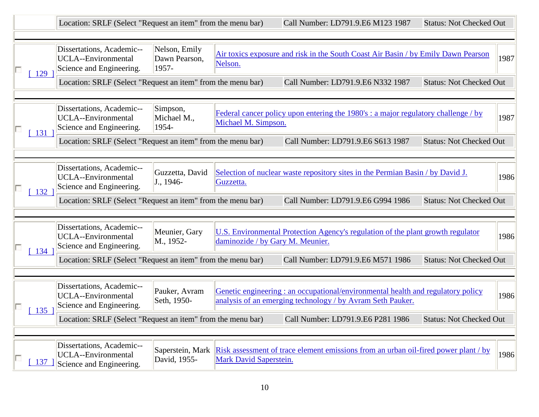|                     |                                                                                     | Location: SRLF (Select "Request an item" from the menu bar) |                                  |                                                                                                                                               | Call Number: LD791.9.E6 M123 1987 | <b>Status: Not Checked Out</b> |      |
|---------------------|-------------------------------------------------------------------------------------|-------------------------------------------------------------|----------------------------------|-----------------------------------------------------------------------------------------------------------------------------------------------|-----------------------------------|--------------------------------|------|
| 129                 | Dissertations, Academic--<br><b>UCLA--Environmental</b><br>Science and Engineering. | Nelson, Emily<br>Dawn Pearson,<br>1957-                     | Nelson.                          | Air toxics exposure and risk in the South Coast Air Basin / by Emily Dawn Pearson                                                             |                                   |                                | 1987 |
|                     | Location: SRLF (Select "Request an item" from the menu bar)                         |                                                             |                                  | Call Number: LD791.9.E6 N332 1987                                                                                                             |                                   | <b>Status: Not Checked Out</b> |      |
| $\lceil 131 \rceil$ | Dissertations, Academic--<br><b>UCLA--Environmental</b><br>Science and Engineering. | Simpson,<br>Michael M.,<br>1954-                            | Michael M. Simpson.              | Federal cancer policy upon entering the 1980's : a major regulatory challenge / by                                                            |                                   |                                | 1987 |
|                     | Location: SRLF (Select "Request an item" from the menu bar)                         |                                                             |                                  | Call Number: LD791.9.E6 S613 1987                                                                                                             |                                   | <b>Status: Not Checked Out</b> |      |
| 132                 | Dissertations, Academic--<br><b>UCLA--Environmental</b><br>Science and Engineering. | Guzzetta, David<br>J., 1946-                                | Guzzetta.                        | Selection of nuclear waste repository sites in the Permian Basin / by David J.                                                                |                                   |                                | 1986 |
|                     | Location: SRLF (Select "Request an item" from the menu bar)                         |                                                             |                                  | Call Number: LD791.9.E6 G994 1986                                                                                                             |                                   | <b>Status: Not Checked Out</b> |      |
|                     | Dissertations, Academic--<br><b>UCLA--Environmental</b><br>Science and Engineering. | Meunier, Gary<br>M., 1952-                                  | daminozide / by Gary M. Meunier. | U.S. Environmental Protection Agency's regulation of the plant growth regulator                                                               |                                   |                                | 1986 |
| 134                 | Location: SRLF (Select "Request an item" from the menu bar)                         |                                                             |                                  | Call Number: LD791.9.E6 M571 1986                                                                                                             |                                   | <b>Status: Not Checked Out</b> |      |
| $135$ ]             | Dissertations, Academic--<br><b>UCLA--Environmental</b><br>Science and Engineering. | Pauker, Avram<br>Seth, 1950-                                |                                  | Genetic engineering: an occupational/environmental health and regulatory policy<br>analysis of an emerging technology / by Avram Seth Pauker. |                                   |                                | 1986 |
|                     | Location: SRLF (Select "Request an item" from the menu bar)                         |                                                             |                                  | Call Number: LD791.9.E6 P281 1986                                                                                                             |                                   | <b>Status: Not Checked Out</b> |      |
| 137                 | Dissertations, Academic--<br><b>UCLA--Environmental</b><br>Science and Engineering. | Saperstein, Mark<br>David, 1955-                            | Mark David Saperstein.           | Risk assessment of trace element emissions from an urban oil-fired power plant / by                                                           |                                   |                                | 1986 |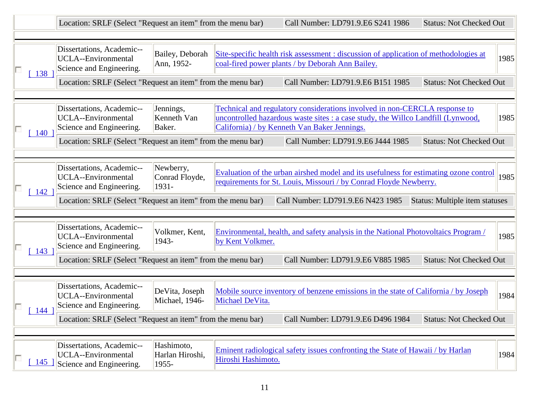|                     | Location: SRLF (Select "Request an item" from the menu bar)                                                                                        |                                        |                    | Call Number: LD791.9.E6 S241 1986                                                                                                                                                                                     | <b>Status: Not Checked Out</b>        |      |
|---------------------|----------------------------------------------------------------------------------------------------------------------------------------------------|----------------------------------------|--------------------|-----------------------------------------------------------------------------------------------------------------------------------------------------------------------------------------------------------------------|---------------------------------------|------|
| 138                 | Dissertations, Academic--<br><b>UCLA--Environmental</b><br>Science and Engineering.                                                                | Bailey, Deborah<br>Ann, 1952-          |                    | Site-specific health risk assessment : discussion of application of methodologies at<br>coal-fired power plants / by Deborah Ann Bailey.                                                                              |                                       | 1985 |
|                     | Location: SRLF (Select "Request an item" from the menu bar)                                                                                        |                                        |                    | Call Number: LD791.9.E6 B151 1985                                                                                                                                                                                     | <b>Status: Not Checked Out</b>        |      |
| $\lceil 140 \rceil$ | Dissertations, Academic--<br>UCLA--Environmental<br>Science and Engineering.                                                                       | Jennings,<br>Kenneth Van<br>Baker.     |                    | <b>Technical and regulatory considerations involved in non-CERCLA response to</b><br>uncontrolled hazardous waste sites : a case study, the Willco Landfill (Lynwood,<br>California) / by Kenneth Van Baker Jennings. |                                       | 1985 |
|                     | Location: SRLF (Select "Request an item" from the menu bar)                                                                                        |                                        |                    | Call Number: LD791.9.E6 J444 1985                                                                                                                                                                                     | <b>Status: Not Checked Out</b>        |      |
| 142                 | Dissertations, Academic--<br><b>UCLA--Environmental</b><br>Science and Engineering.<br>Location: SRLF (Select "Request an item" from the menu bar) | Newberry,<br>Conrad Floyde,<br>1931-   |                    | Evaluation of the urban airshed model and its usefulness for estimating ozone control<br>requirements for St. Louis, Missouri / by Conrad Floyde Newberry.<br>Call Number: LD791.9.E6 N423 1985                       | <b>Status: Multiple item statuses</b> | 1985 |
|                     | Dissertations, Academic--<br>UCLA--Environmental<br>Science and Engineering.                                                                       | Volkmer, Kent,<br>1943-                | by Kent Volkmer.   | Environmental, health, and safety analysis in the National Photovoltaics Program /                                                                                                                                    |                                       | 1985 |
| 143                 | Location: SRLF (Select "Request an item" from the menu bar)                                                                                        |                                        |                    | Call Number: LD791.9.E6 V885 1985                                                                                                                                                                                     | <b>Status: Not Checked Out</b>        |      |
| 144                 | Dissertations, Academic--<br><b>UCLA--Environmental</b><br>Science and Engineering.                                                                | DeVita, Joseph<br>Michael, 1946-       | Michael DeVita.    | Mobile source inventory of benzene emissions in the state of California / by Joseph                                                                                                                                   |                                       | 1984 |
|                     | Location: SRLF (Select "Request an item" from the menu bar)                                                                                        |                                        |                    | Call Number: LD791.9.E6 D496 1984                                                                                                                                                                                     | <b>Status: Not Checked Out</b>        |      |
| 145                 | Dissertations, Academic--<br><b>UCLA--Environmental</b><br>Science and Engineering.                                                                | Hashimoto,<br>Harlan Hiroshi,<br>1955- | Hiroshi Hashimoto. | Eminent radiological safety issues confronting the State of Hawaii / by Harlan                                                                                                                                        |                                       | 1984 |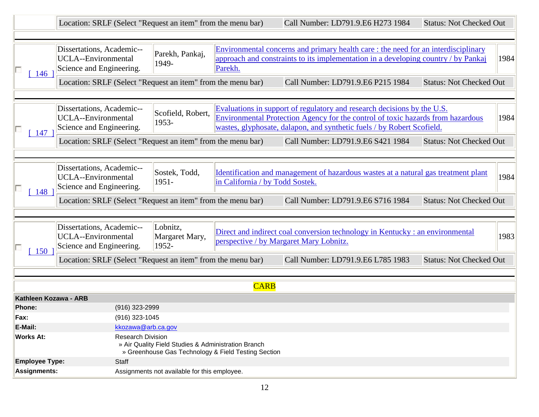|                               | Location: SRLF (Select "Request an item" from the menu bar)                         |                                                     |                                                     | Call Number: LD791.9.E6 H273 1984                                                                                                                                                                                                    | <b>Status: Not Checked Out</b> |      |
|-------------------------------|-------------------------------------------------------------------------------------|-----------------------------------------------------|-----------------------------------------------------|--------------------------------------------------------------------------------------------------------------------------------------------------------------------------------------------------------------------------------------|--------------------------------|------|
|                               |                                                                                     |                                                     |                                                     |                                                                                                                                                                                                                                      |                                |      |
| 146                           | Dissertations, Academic--<br>UCLA--Environmental<br>Science and Engineering.        | Parekh, Pankaj,<br>1949-                            | Parekh.                                             | Environmental concerns and primary health care: the need for an interdisciplinary<br>approach and constraints to its implementation in a developing country / by Pankaj                                                              |                                | 1984 |
|                               | Location: SRLF (Select "Request an item" from the menu bar)                         |                                                     |                                                     | Call Number: LD791.9.E6 P215 1984                                                                                                                                                                                                    | <b>Status: Not Checked Out</b> |      |
|                               |                                                                                     |                                                     |                                                     |                                                                                                                                                                                                                                      |                                |      |
| 147                           | Dissertations, Academic--<br><b>UCLA--Environmental</b><br>Science and Engineering. | Scofield, Robert,<br>1953-                          |                                                     | Evaluations in support of regulatory and research decisions by the U.S.<br>Environmental Protection Agency for the control of toxic hazards from hazardous<br>wastes, glyphosate, dalapon, and synthetic fuels / by Robert Scofield. |                                | 1984 |
|                               | Location: SRLF (Select "Request an item" from the menu bar)                         |                                                     |                                                     | Call Number: LD791.9.E6 S421 1984                                                                                                                                                                                                    | <b>Status: Not Checked Out</b> |      |
|                               |                                                                                     |                                                     |                                                     |                                                                                                                                                                                                                                      |                                |      |
| 148                           | Dissertations, Academic--<br><b>UCLA--Environmental</b><br>Science and Engineering. | Sostek, Todd,<br>1951-                              | in California / by Todd Sostek.                     | Identification and management of hazardous wastes at a natural gas treatment plant                                                                                                                                                   |                                | 1984 |
|                               | Location: SRLF (Select "Request an item" from the menu bar)                         |                                                     |                                                     | Call Number: LD791.9.E6 S716 1984                                                                                                                                                                                                    | <b>Status: Not Checked Out</b> |      |
|                               |                                                                                     |                                                     |                                                     |                                                                                                                                                                                                                                      |                                |      |
| 150                           | Dissertations, Academic--<br><b>UCLA--Environmental</b><br>Science and Engineering. | Lobnitz,<br>Margaret Mary,<br>1952-                 |                                                     | Direct and indirect coal conversion technology in Kentucky : an environmental<br>perspective / by Margaret Mary Lobnitz.                                                                                                             |                                | 1983 |
|                               | Location: SRLF (Select "Request an item" from the menu bar)                         |                                                     |                                                     | Call Number: LD791.9.E6 L785 1983                                                                                                                                                                                                    | <b>Status: Not Checked Out</b> |      |
|                               |                                                                                     |                                                     |                                                     |                                                                                                                                                                                                                                      |                                |      |
| Kathleen Kozawa - ARB         |                                                                                     |                                                     | <b>CARB</b>                                         |                                                                                                                                                                                                                                      |                                |      |
| Phone:                        | (916) 323-2999                                                                      |                                                     |                                                     |                                                                                                                                                                                                                                      |                                |      |
| (916) 323-1045<br>Fax:        |                                                                                     |                                                     |                                                     |                                                                                                                                                                                                                                      |                                |      |
| E-Mail:<br>kkozawa@arb.ca.gov |                                                                                     |                                                     |                                                     |                                                                                                                                                                                                                                      |                                |      |
| <b>Works At:</b>              | Research Division                                                                   | » Air Quality Field Studies & Administration Branch | » Greenhouse Gas Technology & Field Testing Section |                                                                                                                                                                                                                                      |                                |      |
| <b>Employee Type:</b>         | Staff                                                                               |                                                     |                                                     |                                                                                                                                                                                                                                      |                                |      |
| <b>Assignments:</b>           |                                                                                     | Assignments not available for this employee.        |                                                     |                                                                                                                                                                                                                                      |                                |      |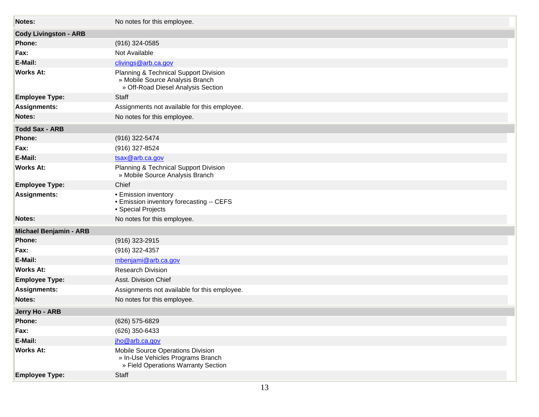| Notes:                       | No notes for this employee.                                                                                    |  |
|------------------------------|----------------------------------------------------------------------------------------------------------------|--|
| <b>Cody Livingston - ARB</b> |                                                                                                                |  |
| Phone:                       | $(916)$ 324-0585                                                                                               |  |
| Fax:                         | Not Available                                                                                                  |  |
| E-Mail:                      | clivings@arb.ca.gov                                                                                            |  |
| <b>Works At:</b>             | Planning & Technical Support Division<br>» Mobile Source Analysis Branch<br>» Off-Road Diesel Analysis Section |  |
| <b>Employee Type:</b>        | Staff                                                                                                          |  |
| <b>Assignments:</b>          | Assignments not available for this employee.                                                                   |  |
| Notes:                       | No notes for this employee.                                                                                    |  |
| <b>Todd Sax - ARB</b>        |                                                                                                                |  |
| <b>Phone:</b>                | (916) 322-5474                                                                                                 |  |
| Fax:                         | (916) 327-8524                                                                                                 |  |
| E-Mail:                      | tsax@arb.ca.gov                                                                                                |  |
| <b>Works At:</b>             | Planning & Technical Support Division<br>» Mobile Source Analysis Branch                                       |  |
| <b>Employee Type:</b>        | Chief                                                                                                          |  |
| <b>Assignments:</b>          | • Emission inventory<br>• Emission inventory forecasting -- CEFS<br>• Special Projects                         |  |
| <b>Notes:</b>                | No notes for this employee.                                                                                    |  |
| Michael Benjamin - ARB       |                                                                                                                |  |
| <b>Phone:</b>                | (916) 323-2915                                                                                                 |  |
| Fax:                         | (916) 322-4357                                                                                                 |  |
| E-Mail:                      | mbenjami@arb.ca.gov                                                                                            |  |
| <b>Works At:</b>             | <b>Research Division</b>                                                                                       |  |
| <b>Employee Type:</b>        | Asst. Division Chief                                                                                           |  |
| <b>Assignments:</b>          | Assignments not available for this employee.                                                                   |  |
| Notes:                       | No notes for this employee.                                                                                    |  |
| Jerry Ho - ARB               |                                                                                                                |  |
| Phone:                       | (626) 575-6829                                                                                                 |  |
| Fax:                         | (626) 350-6433                                                                                                 |  |
| E-Mail:                      | jho@arb.ca.gov                                                                                                 |  |
| <b>Works At:</b>             | Mobile Source Operations Division<br>» In-Use Vehicles Programs Branch<br>» Field Operations Warranty Section  |  |
| <b>Employee Type:</b>        | Staff                                                                                                          |  |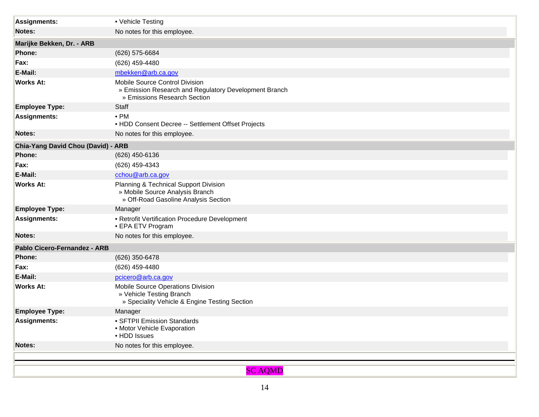| <b>Assignments:</b>                | • Vehicle Testing                                                                                                       |  |
|------------------------------------|-------------------------------------------------------------------------------------------------------------------------|--|
| Notes:                             | No notes for this employee.                                                                                             |  |
| Marijke Bekken, Dr. - ARB          |                                                                                                                         |  |
| <b>Phone:</b>                      | (626) 575-6684                                                                                                          |  |
| Fax:                               | (626) 459-4480                                                                                                          |  |
| E-Mail:                            | mbekken@arb.ca.gov                                                                                                      |  |
| <b>Works At:</b>                   | Mobile Source Control Division<br>» Emission Research and Regulatory Development Branch<br>» Emissions Research Section |  |
| <b>Employee Type:</b>              | Staff                                                                                                                   |  |
| <b>Assignments:</b>                | $\bullet$ PM<br>• HDD Consent Decree -- Settlement Offset Projects                                                      |  |
| Notes:                             | No notes for this employee.                                                                                             |  |
| Chia-Yang David Chou (David) - ARB |                                                                                                                         |  |
| Phone:                             | (626) 450-6136                                                                                                          |  |
| Fax:                               | (626) 459-4343                                                                                                          |  |
| E-Mail:                            | cchou@arb.ca.gov                                                                                                        |  |
| <b>Works At:</b>                   | Planning & Technical Support Division<br>» Mobile Source Analysis Branch<br>» Off-Road Gasoline Analysis Section        |  |
| <b>Employee Type:</b>              | Manager                                                                                                                 |  |
| <b>Assignments:</b>                | • Retrofit Vertification Procedure Development<br>• EPA ETV Program                                                     |  |
| <b>Notes:</b>                      | No notes for this employee.                                                                                             |  |
| Pablo Cicero-Fernandez - ARB       |                                                                                                                         |  |
| Phone:                             | (626) 350-6478                                                                                                          |  |
| Fax:                               | (626) 459-4480                                                                                                          |  |
| E-Mail:                            | pcicero@arb.ca.gov                                                                                                      |  |
| <b>Works At:</b>                   | Mobile Source Operations Division<br>» Vehicle Testing Branch<br>» Speciality Vehicle & Engine Testing Section          |  |
| <b>Employee Type:</b>              | Manager                                                                                                                 |  |
| <b>Assignments:</b>                | · SFTPII Emission Standards<br>• Motor Vehicle Evaporation<br>• HDD Issues                                              |  |
| Notes:                             | No notes for this employee.                                                                                             |  |
|                                    |                                                                                                                         |  |
|                                    | <b>SC AQMD</b>                                                                                                          |  |
|                                    |                                                                                                                         |  |